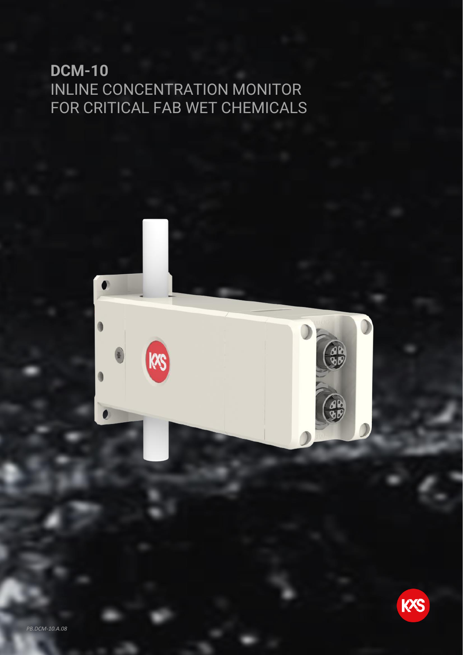## **DCM-10**  INLINE CONCENTRATION MONITOR FOR CRITICAL FAB WET CHEMICALS

 $\bullet$ 

KS



 $-88$ 

 $\Omega$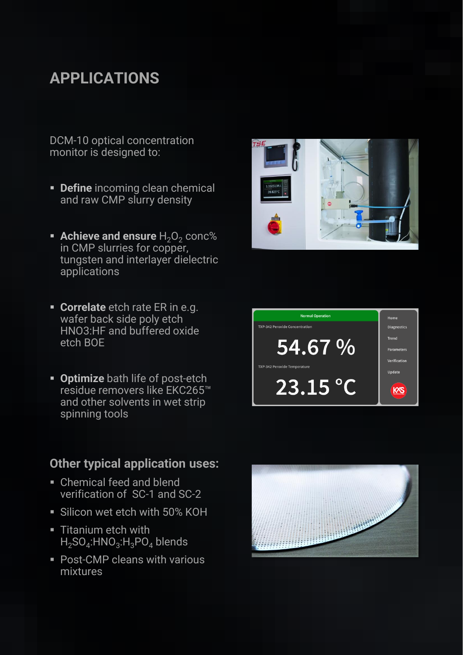# **APPLICATIONS**

DCM-10 optical concentration monitor is designed to:

- **Define** incoming clean chemical and raw CMP slurry density
- **Example 1 Achieve and ensure**  $H_2O_2$  conc% in CMP slurries for copper, tungsten and interlayer dielectric applications
- **EXECORTE CORTE ER IN EXECUTE:** wafer back side poly etch HNO3:HF and buffered oxide etch BOE
- **Optimize** bath life of post-etch residue removers like EKC265™ and other solvents in wet strip spinning tools

#### **Other typical application uses:**

- Chemical feed and blend verification of SC-1 and SC-2
- **Example 1 Silicon wet etch with 50% KOH**
- **E** Titanium etch with  $\mathsf{H}_2\mathsf{SO}_4\text{:HNO}_3\text{:H}_3\mathsf{PO}_4$  blends
- Post-CMP cleans with various mixtures





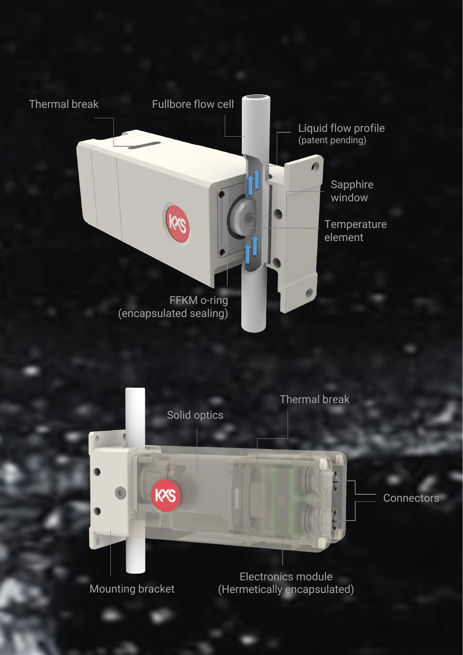



Mounting bracket

(Hermetically encapsulated)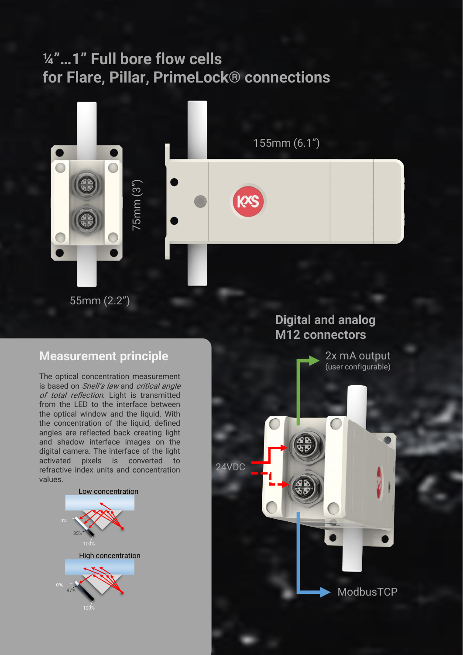## **¼"…1" Full bore flow cells for Flare, Pillar, PrimeLock® connections**



55mm (2.2")

### **Measurement principle**

The optical concentration measurement is based on Snell's law and critical angle of total reflection. Light is transmitted from the LED to the interface between the optical window and the liquid. With the concentration of the liquid, defined angles are reflected back creating light and shadow interface images on the digital camera. The interface of the light activated pixels is converted to refractive index units and concentration values.



### **Digital and analog M12 connectors**

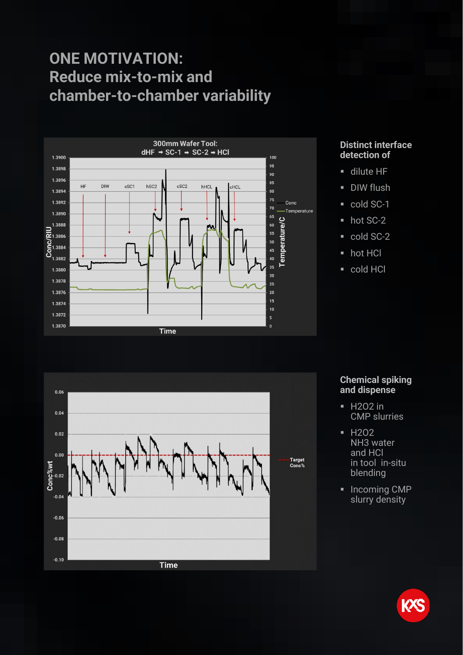## **ONE MOTIVATION: Reduce mix-to-mix and chamber-to-chamber variability**



#### **Distinct interface detection of**

- **u** dilute HF
- **•** DIW flush
- cold SC-1
- hot SC-2
- cold SC-2
- hot HCl
- cold HCl



#### **Chemical spiking and dispense**

- **■** H2O2 in CMP slurries
- H2O2 NH3 water and HCl in tool in-situ blending
- Incoming CMP slurry density